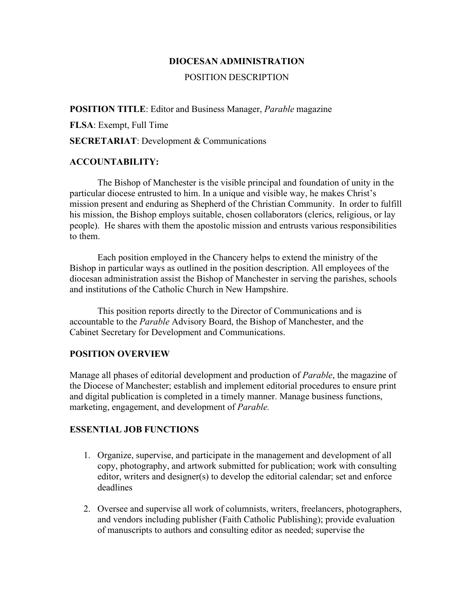### **DIOCESAN ADMINISTRATION**

### POSITION DESCRIPTION

#### **POSITION TITLE**: Editor and Business Manager, *Parable* magazine

**FLSA**: Exempt, Full Time

**SECRETARIAT**: Development & Communications

### **ACCOUNTABILITY:**

The Bishop of Manchester is the visible principal and foundation of unity in the particular diocese entrusted to him. In a unique and visible way, he makes Christ's mission present and enduring as Shepherd of the Christian Community. In order to fulfill his mission, the Bishop employs suitable, chosen collaborators (clerics, religious, or lay people). He shares with them the apostolic mission and entrusts various responsibilities to them.

Each position employed in the Chancery helps to extend the ministry of the Bishop in particular ways as outlined in the position description. All employees of the diocesan administration assist the Bishop of Manchester in serving the parishes, schools and institutions of the Catholic Church in New Hampshire.

This position reports directly to the Director of Communications and is accountable to the *Parable* Advisory Board, the Bishop of Manchester, and the Cabinet Secretary for Development and Communications.

### **POSITION OVERVIEW**

Manage all phases of editorial development and production of *Parable*, the magazine of the Diocese of Manchester; establish and implement editorial procedures to ensure print and digital publication is completed in a timely manner. Manage business functions, marketing, engagement, and development of *Parable.*

### **ESSENTIAL JOB FUNCTIONS**

- 1. Organize, supervise, and participate in the management and development of all copy, photography, and artwork submitted for publication; work with consulting editor, writers and designer(s) to develop the editorial calendar; set and enforce deadlines
- 2. Oversee and supervise all work of columnists, writers, freelancers, photographers, and vendors including publisher (Faith Catholic Publishing); provide evaluation of manuscripts to authors and consulting editor as needed; supervise the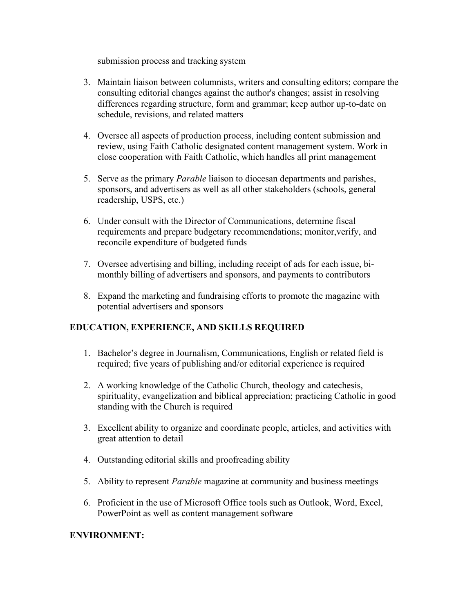submission process and tracking system

- 3. Maintain liaison between columnists, writers and consulting editors; compare the consulting editorial changes against the author's changes; assist in resolving differences regarding structure, form and grammar; keep author up-to-date on schedule, revisions, and related matters
- 4. Oversee all aspects of production process, including content submission and review, using Faith Catholic designated content management system. Work in close cooperation with Faith Catholic, which handles all print management
- 5. Serve as the primary *Parable* liaison to diocesan departments and parishes, sponsors, and advertisers as well as all other stakeholders (schools, general readership, USPS, etc.)
- 6. Under consult with the Director of Communications, determine fiscal requirements and prepare budgetary recommendations; monitor,verify, and reconcile expenditure of budgeted funds
- 7. Oversee advertising and billing, including receipt of ads for each issue, bimonthly billing of advertisers and sponsors, and payments to contributors
- 8. Expand the marketing and fundraising efforts to promote the magazine with potential advertisers and sponsors

# **EDUCATION, EXPERIENCE, AND SKILLS REQUIRED**

- 1. Bachelor's degree in Journalism, Communications, English or related field is required; five years of publishing and/or editorial experience is required
- 2. A working knowledge of the Catholic Church, theology and catechesis, spirituality, evangelization and biblical appreciation; practicing Catholic in good standing with the Church is required
- 3. Excellent ability to organize and coordinate people, articles, and activities with great attention to detail
- 4. Outstanding editorial skills and proofreading ability
- 5. Ability to represent *Parable* magazine at community and business meetings
- 6. Proficient in the use of Microsoft Office tools such as Outlook, Word, Excel, PowerPoint as well as content management software

## **ENVIRONMENT:**